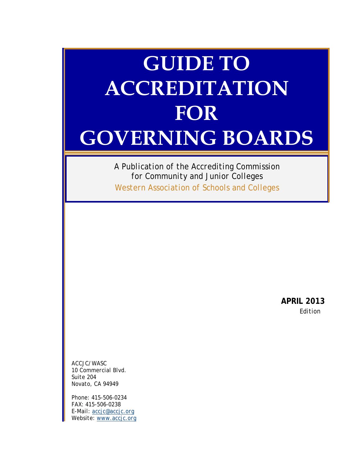# **GUIDE TO ACCREDITATION FOR GOVERNING BOARDS**

*A Publication of the Accrediting Commission for Community and Junior Colleges Western Association of Schools and Colleges*

> **APRIL 2013** *Edition*

*ACCJC/WASC 10 Commercial Blvd. Suite 204 Novato, CA 94949*

*Phone: 415-506-0234 FAX: 415-506-0238 E-Mail: [accjc@accjc.org](mailto:accjc@accjc.org) Website: [www.accjc.org](http://www.accjc.org/)*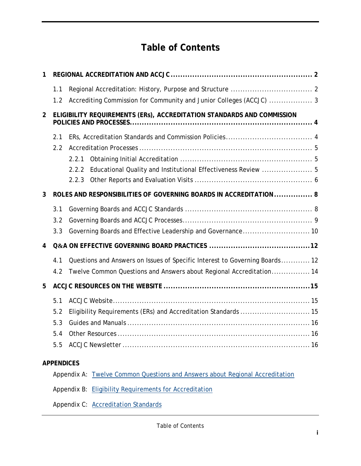# **Table of Contents**

| 1              |                                                                        |                                                                             |
|----------------|------------------------------------------------------------------------|-----------------------------------------------------------------------------|
|                | 1.1                                                                    |                                                                             |
|                | 1.2                                                                    | Accrediting Commission for Community and Junior Colleges (ACCJC)  3         |
| $\overline{2}$ | ELIGIBILITY REQUIREMENTS (ERs), ACCREDITATION STANDARDS AND COMMISSION |                                                                             |
|                | 2.1                                                                    |                                                                             |
|                | 2.2                                                                    |                                                                             |
|                |                                                                        | 2.2.1                                                                       |
|                |                                                                        | Educational Quality and Institutional Effectiveness Review  5<br>2.2.2      |
|                |                                                                        | 2.2.3                                                                       |
| 3              | ROLES AND RESPONSIBILITIES OF GOVERNING BOARDS IN ACCREDITATION  8     |                                                                             |
|                | 3.1                                                                    |                                                                             |
|                | 3.2                                                                    |                                                                             |
|                | 3.3                                                                    | Governing Boards and Effective Leadership and Governance 10                 |
| 4              |                                                                        |                                                                             |
|                | 4.1                                                                    | Questions and Answers on Issues of Specific Interest to Governing Boards 12 |
|                | 4.2                                                                    | Twelve Common Questions and Answers about Regional Accreditation 14         |
| 5              |                                                                        |                                                                             |
|                | 5.1                                                                    |                                                                             |
|                | 5.2                                                                    | Eligibility Requirements (ERs) and Accreditation Standards  15              |
|                | 5.3                                                                    |                                                                             |
|                | 5.4                                                                    |                                                                             |
|                | 5.5                                                                    |                                                                             |
| 0.0001010100   |                                                                        |                                                                             |

### **APPENDICES**

Appendix A: [Twelve Common Questions and Answers about Regional Accreditation](http://www.accjc.org/wp-content/uploads/2010/09/Feb-2011-special-edition.pdf)

Appendix B: [Eligibility Requirements for Accreditation](http://www.accjc.org/eligibility-requirements-standards)

Appendix C: [Accreditation Standards](http://www.accjc.org/eligibility-requirements-standards)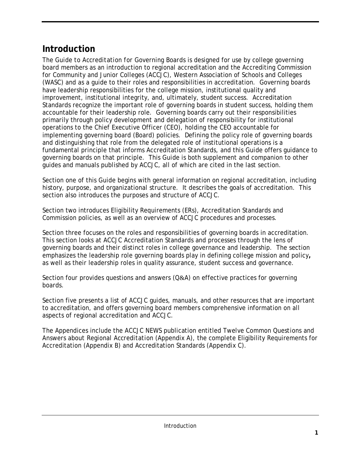# **Introduction**

The *Guide to Accreditation for Governing Boards* is designed for use by college governing board members as an introduction to regional accreditation and the Accrediting Commission for Community and Junior Colleges (ACCJC), Western Association of Schools and Colleges (WASC) and as a guide to their roles and responsibilities in accreditation. Governing boards have leadership responsibilities for the college mission, institutional quality and improvement, institutional integrity, and, ultimately, student success. Accreditation Standards recognize the important role of governing boards in student success, holding them accountable for their leadership role. Governing boards carry out their responsibilities primarily through policy development and delegation of responsibility for institutional operations to the Chief Executive Officer (CEO), holding the CEO accountable for implementing governing board (Board) policies. Defining the policy role of governing boards and distinguishing that role from the delegated role of institutional operations is a fundamental principle that informs Accreditation Standards, and this *Guide* offers guidance to governing boards on that principle. This *Guide* is both supplement and companion to other guides and manuals published by ACCJC, all of which are cited in the last section.

Section one of this *Guide* begins with general information on regional accreditation, including history, purpose, and organizational structure. It describes the goals of accreditation. This section also introduces the purposes and structure of ACCJC.

Section two introduces Eligibility Requirements (ERs), Accreditation Standards and Commission policies, as well as an overview of ACCJC procedures and processes.

Section three focuses on the roles and responsibilities of governing boards in accreditation. This section looks at ACCJC Accreditation Standards and processes through the lens of governing boards and their distinct roles in college governance and leadership. The section emphasizes the leadership role governing boards play in defining college mission and policy**,**  as well as their leadership roles in quality assurance, student success and governance.

Section four provides questions and answers (Q&A) on effective practices for governing boards.

Section five presents a list of ACCJC guides, manuals, and other resources that are important to accreditation, and offers governing board members comprehensive information on all aspects of regional accreditation and ACCJC.

The Appendices include the *ACCJC NEWS* publication entitled *Twelve Common Questions and Answers about Regional Accreditation* (Appendix A), the complete Eligibility Requirements for Accreditation (Appendix B) and Accreditation Standards (Appendix C).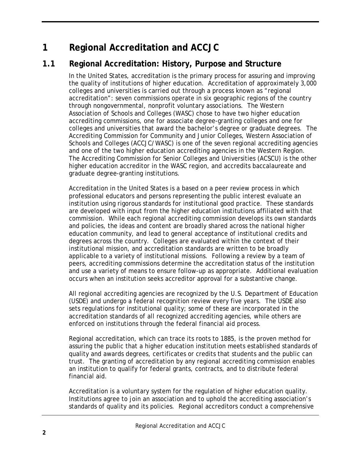# <span id="page-5-0"></span>**1 Regional Accreditation and ACCJC**

# <span id="page-5-1"></span>**1.1 Regional Accreditation: History, Purpose and Structure**

In the United States, accreditation is the primary process for assuring and improving the quality of institutions of higher education. Accreditation of approximately 3,000 colleges and universities is carried out through a process known as "regional accreditation": seven commissions operate in six geographic regions of the country through nongovernmental, nonprofit voluntary associations. The Western Association of Schools and Colleges (WASC) chose to have two higher education accrediting commissions, one for associate degree-granting colleges and one for colleges and universities that award the bachelor's degree or graduate degrees. The Accrediting Commission for Community and Junior Colleges, Western Association of Schools and Colleges (ACCJC/WASC) is one of the seven regional accrediting agencies and one of the two higher education accrediting agencies in the Western Region. The Accrediting Commission for Senior Colleges and Universities (ACSCU) is the other higher education accreditor in the WASC region, and accredits baccalaureate and graduate degree-granting institutions.

Accreditation in the United States is a based on a peer review process in which professional educators and persons representing the public interest evaluate an institution using rigorous standards for institutional good practice. These standards are developed with input from the higher education institutions affiliated with that commission. While each regional accrediting commission develops its own standards and policies, the ideas and content are broadly shared across the national higher education community, and lead to general acceptance of institutional credits and degrees across the country. Colleges are evaluated within the context of their institutional mission, and accreditation standards are written to be broadly applicable to a variety of institutional missions. Following a review by a team of peers, accrediting commissions determine the accreditation status of the institution and use a variety of means to ensure follow-up as appropriate. Additional evaluation occurs when an institution seeks accreditor approval for a substantive change.

All regional accrediting agencies are recognized by the U.S. Department of Education (USDE) and undergo a federal recognition review every five years. The USDE also sets regulations for institutional quality; some of these are incorporated in the accreditation standards of all recognized accrediting agencies, while others are enforced on institutions through the federal financial aid process.

Regional accreditation, which can trace its roots to 1885, is the proven method for assuring the public that a higher education institution meets established standards of quality and awards degrees, certificates or credits that students and the public can trust. The granting of accreditation by any regional accrediting commission enables an institution to qualify for federal grants, contracts, and to distribute federal financial aid.

Accreditation is a voluntary system for the regulation of higher education quality. Institutions agree to join an association and to uphold the accrediting association's standards of quality and its policies. Regional accreditors conduct a comprehensive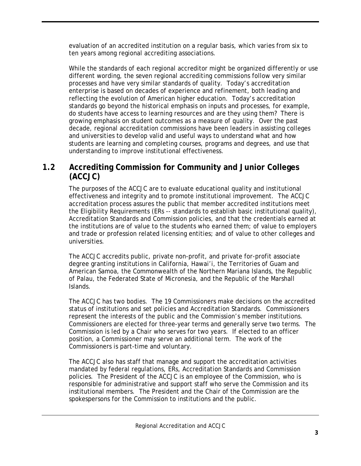evaluation of an accredited institution on a regular basis, which varies from six to ten years among regional accrediting associations.

While the standards of each regional accreditor might be organized differently or use different wording, the seven regional accrediting commissions follow very similar processes and have very similar standards of quality. Today's accreditation enterprise is based on decades of experience and refinement, both leading and reflecting the evolution of American higher education. Today's accreditation standards go beyond the historical emphasis on inputs and processes, for example, do students have access to learning resources and are they using them? There is growing emphasis on student outcomes as a measure of quality. Over the past decade, regional accreditation commissions have been leaders in assisting colleges and universities to develop valid and useful ways to understand what and how students are learning and completing courses, programs and degrees, and use that understanding to improve institutional effectiveness.

### <span id="page-6-0"></span>**1.2 Accrediting Commission for Community and Junior Colleges (ACCJC)**

The purposes of the ACCJC are to evaluate educational quality and institutional effectiveness and integrity and to promote institutional improvement. The ACCJC accreditation process assures the public that member accredited institutions meet the Eligibility Requirements (ERs -- standards to establish basic institutional quality), Accreditation Standards and Commission policies, and that the credentials earned at the institutions are of value to the students who earned them; of value to employers and trade or profession related licensing entities; and of value to other colleges and universities.

The ACCJC accredits public, private non-profit, and private for-profit associate degree granting institutions in California, Hawai'i, the Territories of Guam and American Samoa, the Commonwealth of the Northern Mariana Islands, the Republic of Palau, the Federated State of Micronesia, and the Republic of the Marshall Islands.

The ACCJC has two bodies. The 19 Commissioners make decisions on the accredited status of institutions and set policies and Accreditation Standards. Commissioners represent the interests of the public and the Commission's member institutions. Commissioners are elected for three-year terms and generally serve two terms. The Commission is led by a Chair who serves for two years. If elected to an officer position, a Commissioner may serve an additional term. The work of the Commissioners is part-time and voluntary.

The ACCJC also has staff that manage and support the accreditation activities mandated by federal regulations, ERs, Accreditation Standards and Commission policies. The President of the ACCJC is an employee of the Commission, who is responsible for administrative and support staff who serve the Commission and its institutional members. The President and the Chair of the Commission are the spokespersons for the Commission to institutions and the public.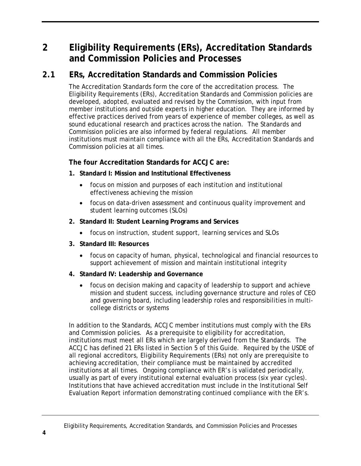# <span id="page-7-0"></span>**2 Eligibility Requirements (ERs), Accreditation Standards and Commission Policies and Processes**

# <span id="page-7-1"></span>**2.1 ERs, Accreditation Standards and Commission Policies**

The Accreditation Standards form the core of the accreditation process. The Eligibility Requirements (ERs), Accreditation Standards and Commission policies are developed, adopted, evaluated and revised by the Commission, with input from member institutions and outside experts in higher education. They are informed by effective practices derived from years of experience of member colleges, as well as sound educational research and practices across the nation. The Standards and Commission policies are also informed by federal regulations. All member institutions must maintain compliance with all the ERs, Accreditation Standards and Commission policies at all times.

### **The four Accreditation Standards for ACCJC are:**

- **1. Standard I: Mission and Institutional Effectiveness**
	- focus on mission and purposes of each institution and institutional effectiveness achieving the mission
	- focus on data-driven assessment and continuous quality improvement and student learning outcomes (SLOs)
- **2. Standard II: Student Learning Programs and Services**
	- focus on instruction, student support, learning services and SLOs
- **3. Standard III: Resources**
	- focus on capacity of human, physical, technological and financial resources to support achievement of mission and maintain institutional integrity
- **4. Standard IV: Leadership and Governance**
	- focus on decision making and capacity of leadership to support and achieve mission and student success, including governance structure and roles of CEO and governing board, including leadership roles and responsibilities in multicollege districts or systems

In addition to the Standards, ACCJC member institutions must comply with the ERs and Commission policies. As a prerequisite to eligibility for accreditation, institutions must meet all ERs which are largely derived from the Standards. The ACCJC has defined 21 ERs listed in Section 5 of this *Guide*. Required by the USDE of all regional accreditors, Eligibility Requirements (ERs) not only are prerequisite to achieving accreditation, their compliance must be maintained by accredited institutions at all times. Ongoing compliance with ER's is validated periodically, usually as part of every institutional external evaluation process (six year cycles). Institutions that have achieved accreditation must include in the Institutional Self Evaluation Report information demonstrating continued compliance with the ER's.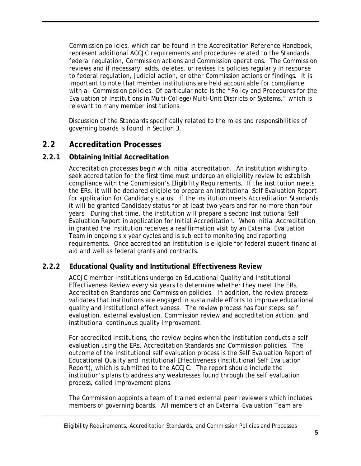Commission policies, which can be found in the *Accreditation Reference Handbook*, represent additional ACCJC requirements and procedures related to the Standards, federal regulation, Commission actions and Commission operations. The Commission reviews and if necessary, adds, deletes, or revises its policies regularly in response to federal regulation, judicial action, or other Commission actions or findings. It is important to note that member institutions are held accountable for compliance with all Commission policies. Of particular note is the "Policy and Procedures for the Evaluation of Institutions in Multi-College/Multi-Unit Districts or Systems," which is relevant to many member institutions.

Discussion of the Standards specifically related to the roles and responsibilities of governing boards is found in Section 3*.*

### <span id="page-8-0"></span>**2.2 Accreditation Processes**

### <span id="page-8-1"></span>**2.2.1 Obtaining Initial Accreditation**

Accreditation processes begin with initial accreditation. An institution wishing to seek accreditation for the first time must undergo an eligibility review to establish compliance with the Commission's Eligibility Requirements*.* If the institution meets the ERs, it will be declared eligible to prepare an Institutional Self Evaluation Report for application for Candidacy status. If the institution meets Accreditation Standards it will be granted Candidacy status for at least two years and for no more than four years. During that time, the institution will prepare a second Institutional Self Evaluation Report in application for Initial Accreditation. When Initial Accreditation in granted the institution receives a reaffirmation visit by an External Evaluation Team in ongoing six year cycles and is subject to monitoring and reporting requirements. Once accredited an institution is eligible for federal student financial aid and well as federal grants and contracts.

### <span id="page-8-2"></span>**2.2.2 Educational Quality and Institutional Effectiveness Review**

ACCJC member institutions undergo an Educational Quality and Institutional Effectiveness Review every six years to determine whether they meet the ERs, Accreditation Standards and Commission policies. In addition, the review process validates that institutions are engaged in sustainable efforts to improve educational quality and institutional effectiveness. The review process has four steps: self evaluation, external evaluation, Commission review and accreditation action, and institutional continuous quality improvement.

For accredited institutions, the review begins when the institution conducts a self evaluation using the ERs, Accreditation Standards and Commission policies. The outcome of the institutional self evaluation process is the Self Evaluation Report of Educational Quality and Institutional Effectiveness (Institutional Self Evaluation Report), which is submitted to the ACCJC. The report should include the institution's plans to address any weaknesses found through the self evaluation process, called improvement plans.

The Commission appoints a team of trained external peer reviewers which includes members of governing boards. All members of an External Evaluation Team are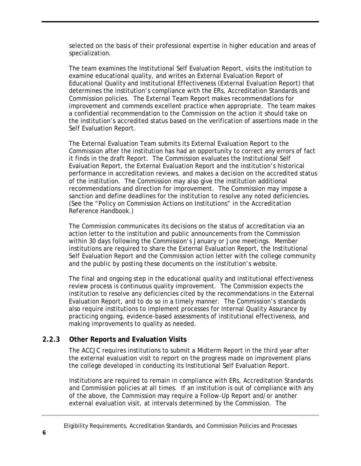selected on the basis of their professional expertise in higher education and areas of specialization.

The team examines the Institutional Self Evaluation Report, visits the institution to examine educational quality, and writes an External Evaluation Report of Educational Quality and Institutional Effectiveness (External Evaluation Report) that determines the institution's compliance with the ERs, Accreditation Standards and Commission policies. The External Team Report makes recommendations for improvement and commends excellent practice when appropriate. The team makes a confidential recommendation to the Commission on the action it should take on the institution's accredited status based on the verification of assertions made in the Self Evaluation Report.

The External Evaluation Team submits its External Evaluation Report to the Commission after the institution has had an opportunity to correct any errors of fact it finds in the draft Report. The Commission evaluates the Institutional Self Evaluation Report, the External Evaluation Report and the institution's historical performance in accreditation reviews, and makes a decision on the accredited status of the institution. The Commission may also give the institution additional recommendations and direction for improvement. The Commission may impose a sanction and define deadlines for the institution to resolve any noted deficiencies. (See the "Policy on Commission Actions on Institutions" in the *Accreditation Reference Handbook*.)

The Commission communicates its decisions on the status of accreditation via an action letter to the institution and public announcements from the Commission within 30 days following the Commission's January or June meetings. Member institutions are required to share the External Evaluation Report, the Institutional Self Evaluation Report and the Commission action letter with the college community and the public by posting these documents on the institution's website.

The final and ongoing step in the educational quality and institutional effectiveness review process is continuous quality improvement. The Commission expects the institution to resolve any deficiencies cited by the recommendations in the External Evaluation Report, and to do so in a timely manner. The Commission's standards also require institutions to implement processes for Internal Quality Assurance by practicing ongoing, evidence-based assessments of institutional effectiveness, and making improvements to quality as needed.

### <span id="page-9-0"></span>**2.2.3 Other Reports and Evaluation Visits**

The ACCJC requires institutions to submit a Midterm Report in the third year after the external evaluation visit to report on the progress made on improvement plans the college developed in conducting its Institutional Self Evaluation Report.

Institutions are required to remain in compliance with ERs, Accreditation Standards and Commission policies at all times. If an institution is out of compliance with any of the above, the Commission may require a Follow-Up Report and/or another external evaluation visit, at intervals determined by the Commission. The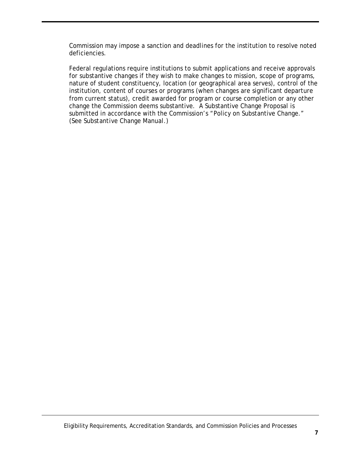Commission may impose a sanction and deadlines for the institution to resolve noted deficiencies.

Federal regulations require institutions to submit applications and receive approvals for substantive changes if they wish to make changes to mission, scope of programs, nature of student constituency, location (or geographical area serves), control of the institution, content of courses or programs (when changes are significant departure from current status), credit awarded for program or course completion or any other change the Commission deems substantive. A Substantive Change Proposal is submitted in accordance with the Commission's "Policy on Substantive Change." (See *Substantive Change Manual*.)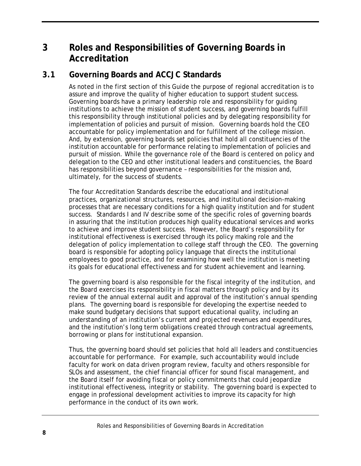# <span id="page-11-0"></span>**3 Roles and Responsibilities of Governing Boards in Accreditation**

## <span id="page-11-1"></span>**3.1 Governing Boards and ACCJC Standards**

As noted in the first section of this *Guide* the purpose of regional accreditation is to assure and improve the quality of higher education to support student success. Governing boards have a primary leadership role and responsibility for guiding institutions to achieve the mission of student success, and governing boards fulfill this responsibility through institutional policies and by delegating responsibility for implementation of policies and pursuit of mission. Governing boards hold the CEO accountable for policy implementation and for fulfillment of the college mission. And, by extension, governing boards set policies that hold all constituencies of the institution accountable for performance relating to implementation of policies and pursuit of mission. While the governance role of the Board is centered on policy and delegation to the CEO and other institutional leaders and constituencies, the Board has responsibilities beyond governance – responsibilities for the mission and, ultimately, for the success of students.

The four Accreditation Standards describe the educational and institutional practices, organizational structures, resources, and institutional decision-making processes that are necessary conditions for a high quality institution and for student success. Standards I and IV describe some of the specific roles of governing boards in assuring that the institution produces high quality educational services and works to achieve and improve student success. However, the Board's responsibility for institutional effectiveness is exercised through its policy making role and the delegation of policy implementation to college staff through the CEO. The governing board is responsible for adopting policy language that directs the institutional employees to good practice, and for examining how well the institution is meeting its goals for educational effectiveness and for student achievement and learning.

The governing board is also responsible for the fiscal integrity of the institution, and the Board exercises its responsibility in fiscal matters through policy and by its review of the annual external audit and approval of the institution's annual spending plans. The governing board is responsible for developing the expertise needed to make sound budgetary decisions that support educational quality, including an understanding of an institution's current and projected revenues and expenditures, and the institution's long term obligations created through contractual agreements, borrowing or plans for institutional expansion.

Thus, the governing board should set policies that hold all leaders and constituencies accountable for performance. For example, such accountability would include faculty for work on data driven program review, faculty and others responsible for SLOs and assessment, the chief financial officer for sound fiscal management, and the Board itself for avoiding fiscal or policy commitments that could jeopardize institutional effectiveness, integrity or stability. The governing board is expected to engage in professional development activities to improve its capacity for high performance in the conduct of its own work.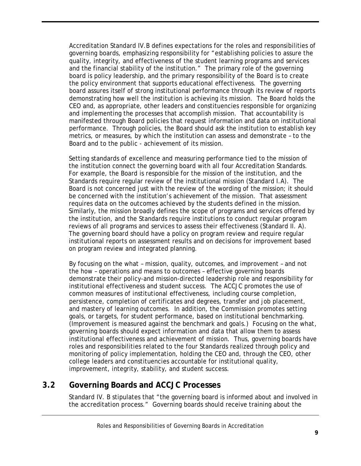Accreditation Standard IV.B defines expectations for the roles and responsibilities of governing boards, emphasizing responsibility for "establishing policies to assure the quality, integrity, and effectiveness of the student learning programs and services and the financial stability of the institution." The primary role of the governing board is policy leadership, and the primary responsibility of the Board is to create the policy environment that supports educational effectiveness. The governing board assures itself of strong institutional performance through its review of reports demonstrating how well the institution is achieving its mission. The Board holds the CEO and, as appropriate, other leaders and constituencies responsible for organizing and implementing the processes that accomplish mission. That accountability is manifested through Board policies that request information and data on institutional performance. Through policies, the Board should ask the institution to establish key metrics, or measures, by which the institution can assess and demonstrate – to the Board and to the public - achievement of its mission.

Setting standards of excellence and measuring performance tied to the mission of the institution connect the governing board with all four Accreditation Standards. For example, the Board is responsible for the mission of the institution, and the Standards require regular review of the institutional mission (Standard I.A). The Board is not concerned just with the review of the wording of the mission; it should be concerned with the institution's achievement of the mission. That assessment requires data on the outcomes achieved by the students defined in the mission. Similarly, the mission broadly defines the scope of programs and services offered by the institution, and the Standards require institutions to conduct regular program reviews of all programs and services to assess their effectiveness (Standard II. A). The governing board should have a policy on program review and require regular institutional reports on assessment results and on decisions for improvement based on program review and integrated planning.

By focusing on the *what* – mission, quality, outcomes, and improvement – and not the *how* – operations and means to outcomes – effective governing boards demonstrate their policy-and mission-directed leadership role and responsibility for institutional effectiveness and student success. The ACCJC promotes the use of common measures of institutional effectiveness, including course completion, persistence, completion of certificates and degrees, transfer and job placement, and mastery of learning outcomes. In addition, the Commission promotes setting goals, or targets, for student performance, based on institutional benchmarking. (Improvement is measured against the benchmark and goals.) Focusing on the *what*, governing boards should expect information and data that allow them to assess institutional effectiveness and achievement of mission. Thus, governing boards have roles and responsibilities related to the four Standards realized through policy and monitoring of policy implementation, holding the CEO and, through the CEO, other college leaders and constituencies accountable for institutional quality, improvement, integrity, stability, and student success.

### <span id="page-12-0"></span>**3.2 Governing Boards and ACCJC Processes**

Standard IV. B stipulates that "the governing board is informed about and involved in the accreditation process." Governing boards should receive training about the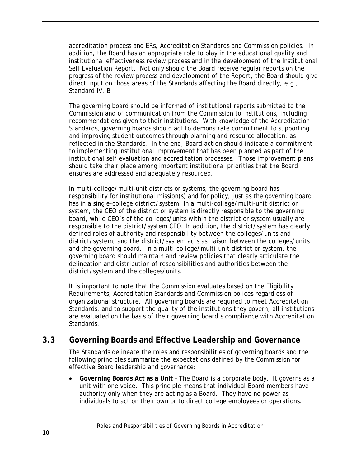accreditation process and ERs, Accreditation Standards and Commission policies. In addition, the Board has an appropriate role to play in the educational quality and institutional effectiveness review process and in the development of the Institutional Self Evaluation Report. Not only should the Board receive regular reports on the progress of the review process and development of the Report, the Board should give direct input on those areas of the Standards affecting the Board directly, e.g., Standard IV. B.

The governing board should be informed of institutional reports submitted to the Commission and of communication from the Commission to institutions, including recommendations given to their institutions. With knowledge of the Accreditation Standards, governing boards should act to demonstrate commitment to supporting and improving student outcomes through planning and resource allocation, as reflected in the Standards. In the end, Board action should indicate a commitment to implementing institutional improvement that has been planned as part of the institutional self evaluation and accreditation processes. Those improvement plans should take their place among important institutional priorities that the Board ensures are addressed and adequately resourced.

In multi-college/multi-unit districts or systems, the governing board has responsibility for institutional mission(s) and for policy, just as the governing board has in a single-college district/system. In a multi-college/multi-unit district or system, the CEO of the district or system is directly responsible to the governing board, while CEO's of the colleges/units within the district or system usually are responsible to the district/system CEO. In addition, the district/system has clearly defined roles of authority and responsibility between the colleges/units and district/system, and the district/system acts as liaison between the colleges/units and the governing board. In a multi-college/multi-unit district or system, the governing board should maintain and review policies that clearly articulate the delineation and distribution of responsibilities and authorities between the district/system and the colleges/units.

It is important to note that the Commission evaluates based on the Eligibility Requirements, Accreditation Standards and Commission polices regardless of organizational structure. All governing boards are required to meet Accreditation Standards, and to support the quality of the institutions they govern; all institutions are evaluated on the basis of their governing board's compliance with Accreditation Standards.

### <span id="page-13-0"></span>**3.3 Governing Boards and Effective Leadership and Governance**

The Standards delineate the roles and responsibilities of governing boards and the following principles summarize the expectations defined by the Commission for effective Board leadership and governance:

• **Governing Boards Act as a Unit** – The Board is a corporate body. It governs as a unit with one voice. This principle means that individual Board members have authority only when they are acting as a Board. They have no power as individuals to act on their own or to direct college employees or operations.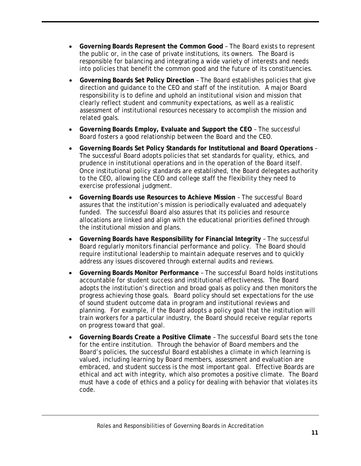- **Governing Boards Represent the Common Good** The Board exists to represent the public or, in the case of private institutions, its owners. The Board is responsible for balancing and integrating a wide variety of interests and needs into policies that benefit the common good and the future of its constituencies.
- **Governing Boards Set Policy Direction** The Board establishes policies that give direction and guidance to the CEO and staff of the institution. A major Board responsibility is to define and uphold an institutional vision and mission that clearly reflect student and community expectations, as well as a realistic assessment of institutional resources necessary to accomplish the mission and related goals.
- **Governing Boards Employ, Evaluate and Support the CEO** The successful Board fosters a good relationship between the Board and the CEO.
- **Governing Boards Set Policy Standards for Institutional and Board Operations** The successful Board adopts policies that set standards for quality, ethics, and prudence in institutional operations and in the operation of the Board itself. Once institutional policy standards are established, the Board delegates authority to the CEO, allowing the CEO and college staff the flexibility they need to exercise professional judgment.
- **Governing Boards use Resources to Achieve Mission** The successful Board assures that the institution's mission is periodically evaluated and adequately funded. The successful Board also assures that its policies and resource allocations are linked and align with the educational priorities defined through the institutional mission and plans.
- **Governing Boards have Responsibility for Financial Integrity** The successful Board regularly monitors financial performance and policy. The Board should require institutional leadership to maintain adequate reserves and to quickly address any issues discovered through external audits and reviews.
- **Governing Boards Monitor Performance** The successful Board holds institutions accountable for student success and institutional effectiveness. The Board adopts the institution's direction and broad goals as policy and then monitors the progress achieving those goals. Board policy should set expectations for the use of sound student outcome data in program and institutional reviews and planning. For example, if the Board adopts a policy goal that the institution will train workers for a particular industry, the Board should receive regular reports on progress toward that goal.
- **Governing Boards Create a Positive Climate** The successful Board sets the tone for the entire institution. Through the behavior of Board members and the Board's policies, the successful Board establishes a climate in which learning is valued, including learning by Board members, assessment and evaluation are embraced, and student success is the most important goal. Effective Boards are ethical and act with integrity, which also promotes a positive climate. The Board must have a code of ethics and a policy for dealing with behavior that violates its code.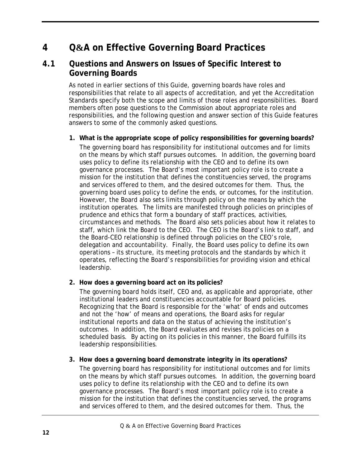# <span id="page-15-0"></span>**4 Q&A on Effective Governing Board Practices**

### <span id="page-15-1"></span>**4.1 Questions and Answers on Issues of Specific Interest to Governing Boards**

As noted in earlier sections of this *Guide*, governing boards have roles and responsibilities that relate to all aspects of accreditation, and yet the Accreditation Standards specify both the scope and limits of those roles and responsibilities. Board members often pose questions to the Commission about appropriate roles and responsibilities, and the following question and answer section of this *Guide* features answers to some of the commonly asked questions.

#### **1. What is the appropriate scope of policy responsibilities for governing boards?**

The governing board has responsibility for institutional outcomes and for limits on the means by which staff pursues outcomes. In addition, the governing board uses policy to define its relationship with the CEO and to define its own governance processes. The Board's most important policy role is to create a mission for the institution that defines the constituencies served, the programs and services offered to them, and the desired outcomes for them. Thus, the governing board uses policy to define the ends, or outcomes, for the institution. However, the Board also sets limits through policy on the means by which the institution operates. The limits are manifested through policies on principles of prudence and ethics that form a boundary of staff practices, activities, circumstances and methods. The Board also sets policies about how it relates to staff, which link the Board to the CEO. The CEO is the Board's link to staff, and the Board-CEO relationship is defined through policies on the CEO's role, delegation and accountability. Finally, the Board uses policy to define its own operations – its structure, its meeting protocols and the standards by which it operates, reflecting the Board's responsibilities for providing vision and ethical leadership.

### **2. How does a governing board act on its policies?**

The governing board holds itself, CEO and, as applicable and appropriate, other institutional leaders and constituencies accountable for Board policies. Recognizing that the Board is responsible for the 'what' of ends and outcomes and not the 'how' of means and operations, the Board asks for regular institutional reports and data on the status of achieving the institution's outcomes. In addition, the Board evaluates and revises its policies on a scheduled basis. By acting on its policies in this manner, the Board fulfills its leadership responsibilities.

### **3. How does a governing board demonstrate integrity in its operations?**

The governing board has responsibility for institutional outcomes and for limits on the means by which staff pursues outcomes. In addition, the governing board uses policy to define its relationship with the CEO and to define its own governance processes. The Board's most important policy role is to create a mission for the institution that defines the constituencies served, the programs and services offered to them, and the desired outcomes for them. Thus, the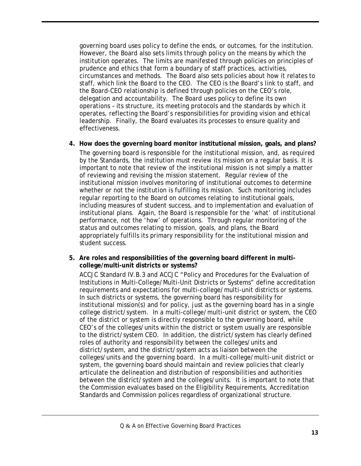governing board uses policy to define the ends, or outcomes, for the institution. However, the Board also sets limits through policy on the means by which the institution operates. The limits are manifested through policies on principles of prudence and ethics that form a boundary of staff practices, activities, circumstances and methods. The Board also sets policies about how it relates to staff, which link the Board to the CEO. The CEO is the Board's link to staff, and the Board-CEO relationship is defined through policies on the CEO's role, delegation and accountability. The Board uses policy to define its own operations – its structure, its meeting protocols and the standards by which it operates, reflecting the Board's responsibilities for providing vision and ethical leadership. Finally, the Board evaluates its processes to ensure quality and effectiveness.

**4. How does the governing board monitor institutional mission, goals, and plans?** The governing board is responsible for the institutional mission, and, as required by the Standards, the institution must review its mission on a regular basis. It is important to note that review of the institutional mission is not simply a matter

of reviewing and revising the mission statement. Regular review of the institutional mission involves monitoring of institutional outcomes to determine whether or not the institution is fulfilling its mission. Such monitoring includes regular reporting to the Board on outcomes relating to institutional goals, including measures of student success, and to implementation and evaluation of institutional plans. Again, the Board is responsible for the 'what' of institutional performance, not the 'how' of operations. Through regular monitoring of the status and outcomes relating to mission, goals, and plans, the Board appropriately fulfills its primary responsibility for the institutional mission and student success.

**5. Are roles and responsibilities of the governing board different in multicollege/multi-unit districts or systems?**

ACCJC Standard IV.B.3 and ACCJC "Policy and Procedures for the Evaluation of Institutions in Multi-College/Multi-Unit Districts or Systems" define accreditation requirements and expectations for multi-college/multi-unit districts or systems. In such districts or systems, the governing board has responsibility for institutional mission(s) and for policy, just as the governing board has in a single college district/system. In a multi-college/multi-unit district or system, the CEO of the district or system is directly responsible to the governing board, while CEO's of the colleges/units within the district or system usually are responsible to the district/system CEO. In addition, the district/system has clearly defined roles of authority and responsibility between the colleges/units and district/system, and the district/system acts as liaison between the colleges/units and the governing board. In a multi-college/multi-unit district or system, the governing board should maintain and review policies that clearly articulate the delineation and distribution of responsibilities and authorities between the district/system and the colleges/units. It is important to note that the Commission evaluates based on the Eligibility Requirements, Accreditation Standards and Commission polices regardless of organizational structure.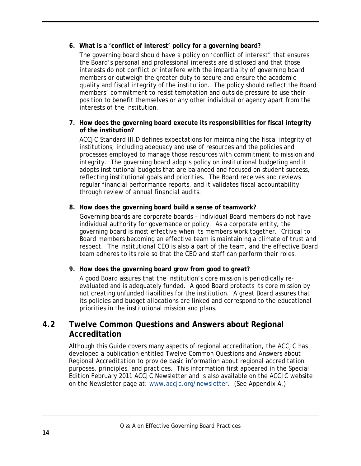### **6. What is a 'conflict of interest' policy for a governing board?**

The governing board should have a policy on 'conflict of interest" that ensures the Board's personal and professional interests are disclosed and that those interests do not conflict or interfere with the impartiality of governing board members or outweigh the greater duty to secure and ensure the academic quality and fiscal integrity of the institution. The policy should reflect the Board members' commitment to resist temptation and outside pressure to use their position to benefit themselves or any other individual or agency apart from the interests of the institution.

#### **7. How does the governing board execute its responsibilities for fiscal integrity of the institution?**

ACCJC Standard III.D defines expectations for maintaining the fiscal integrity of institutions, including adequacy and use of resources and the policies and processes employed to manage those resources with commitment to mission and integrity. The governing board adopts policy on institutional budgeting and it adopts institutional budgets that are balanced and focused on student success, reflecting institutional goals and priorities. The Board receives and reviews regular financial performance reports, and it validates fiscal accountability through review of annual financial audits.

#### **8. How does the governing board build a sense of teamwork?**

Governing boards are corporate boards – individual Board members do not have individual authority for governance or policy. As a corporate entity, the governing board is most effective when its members work together. Critical to Board members becoming an effective team is maintaining a climate of trust and respect. The institutional CEO is also a part of the team, and the effective Board team adheres to its role so that the CEO and staff can perform their roles.

### **9. How does the governing board grow from good to great?**

A good Board assures that the institution's core mission is periodically reevaluated and is adequately funded. A good Board protects its core mission by not creating unfunded liabilities for the institution. A great Board assures that its policies and budget allocations are linked and correspond to the educational priorities in the institutional mission and plans.

### <span id="page-17-0"></span>**4.2 Twelve Common Questions and Answers about Regional Accreditation**

Although this *Guide* covers many aspects of regional accreditation, the ACCJC has developed a publication entitled *Twelve Common Questions and Answers about Regional Accreditation* to provide basic information about regional accreditation purposes, principles, and practices. This information first appeared in the Special Edition February 2011 ACCJC Newsletter and is also available on the ACCJC website on the Newsletter page at: [www.accjc.org/newsletter.](http://www.accjc.org/newsletter) (See Appendix A.)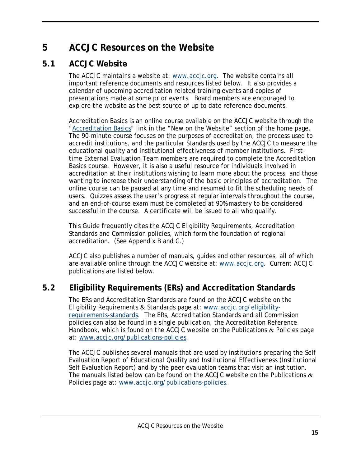# <span id="page-18-0"></span>**5 ACCJC Resources on the Website**

# <span id="page-18-1"></span>**5.1 ACCJC Website**

The ACCJC maintains a website at: [www.accjc.org.](http://www.accjc.org/) The website contains all important reference documents and resources listed below. It also provides a calendar of upcoming accreditation related training events and copies of presentations made at some prior events. Board members are encouraged to explore the website as the best source of up to date reference documents.

Accreditation Basics is an online course available on the ACCJC website through the ["Accreditation Basics"](http://www.accjc.org/events/accjc-accreditation-training/accreditation-basics-%e2%80%93-an-online-workshop-on-the-basic-principles-of-accreditation) link in the "New on the Website" section of the home page. The 90-minute course focuses on the purposes of accreditation, the process used to accredit institutions, and the particular Standards used by the ACCJC to measure the educational quality and institutional effectiveness of member institutions. Firsttime External Evaluation Team members are required to complete the Accreditation Basics course. However, it is also a useful resource for individuals involved in accreditation at their institutions wishing to learn more about the process, and those wanting to increase their understanding of the basic principles of accreditation. The online course can be paused at any time and resumed to fit the scheduling needs of users. Quizzes assess the user's progress at regular intervals throughout the course, and an end-of-course exam must be completed at 90% mastery to be considered successful in the course. A certificate will be issued to all who qualify.

This *Guide* frequently cites the ACCJC Eligibility Requirements, Accreditation Standards and Commission policies, which form the foundation of regional accreditation. (See Appendix B and C.)

ACCJC also publishes a number of manuals, guides and other resources, all of which are available online through the ACCJC website at: [www.accjc.org.](http://www.accjc.org/) Current ACCJC publications are listed below.

# <span id="page-18-2"></span>**5.2 Eligibility Requirements (ERs) and Accreditation Standards**

The ERs and Accreditation Standards are found on the ACCJC website on the Eligibility Requirements & Standards page at: [www.accjc.org/eligibility](http://www.accjc.org/eligibility-requirements-standards)[requirements-standards.](http://www.accjc.org/eligibility-requirements-standards) The ERs, Accreditation Standards and all Commission policies can also be found in a single publication, the *Accreditation Reference Handbook*, which is found on the ACCJC website on the Publications & Policies page at: [www.accjc.org/publications-policies.](http://www.accjc.org/publications-policies)

The ACCJC publishes several manuals that are used by institutions preparing the Self Evaluation Report of Educational Quality and Institutional Effectiveness (Institutional Self Evaluation Report) and by the peer evaluation teams that visit an institution. The manuals listed below can be found on the ACCJC website on the Publications  $\&$ Policies page at: [www.accjc.org/publications-policies.](http://www.accjc.org/publications-policies)